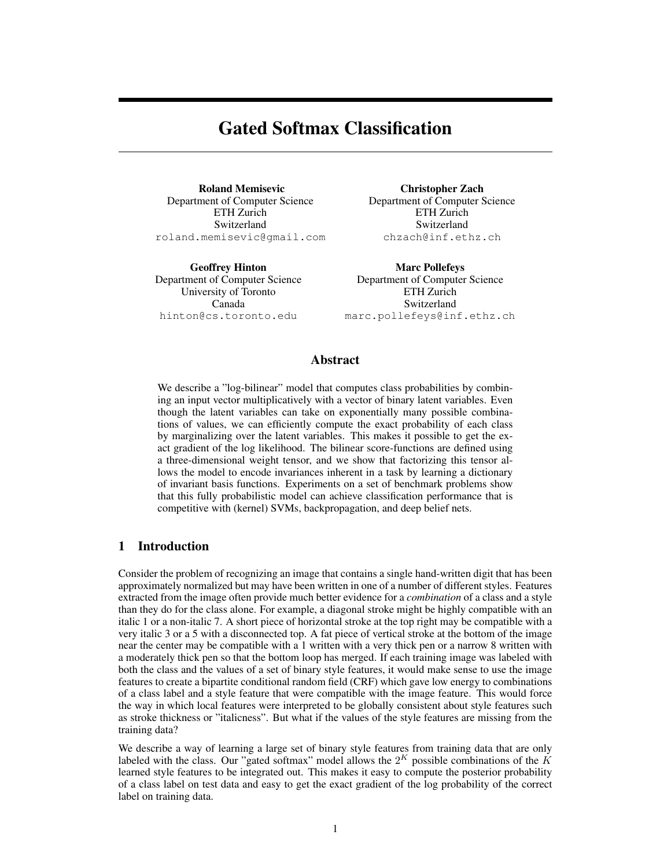# Gated Softmax Classification

Roland Memisevic Department of Computer Science ETH Zurich Switzerland roland.memisevic@gmail.com

Geoffrey Hinton Department of Computer Science University of Toronto Canada hinton@cs.toronto.edu

Christopher Zach Department of Computer Science ETH Zurich Switzerland chzach@inf.ethz.ch

Marc Pollefeys Department of Computer Science ETH Zurich Switzerland marc.pollefeys@inf.ethz.ch

# Abstract

We describe a "log-bilinear" model that computes class probabilities by combining an input vector multiplicatively with a vector of binary latent variables. Even though the latent variables can take on exponentially many possible combinations of values, we can efficiently compute the exact probability of each class by marginalizing over the latent variables. This makes it possible to get the exact gradient of the log likelihood. The bilinear score-functions are defined using a three-dimensional weight tensor, and we show that factorizing this tensor allows the model to encode invariances inherent in a task by learning a dictionary of invariant basis functions. Experiments on a set of benchmark problems show that this fully probabilistic model can achieve classification performance that is competitive with (kernel) SVMs, backpropagation, and deep belief nets.

# 1 Introduction

Consider the problem of recognizing an image that contains a single hand-written digit that has been approximately normalized but may have been written in one of a number of different styles. Features extracted from the image often provide much better evidence for a *combination* of a class and a style than they do for the class alone. For example, a diagonal stroke might be highly compatible with an italic 1 or a non-italic 7. A short piece of horizontal stroke at the top right may be compatible with a very italic 3 or a 5 with a disconnected top. A fat piece of vertical stroke at the bottom of the image near the center may be compatible with a 1 written with a very thick pen or a narrow 8 written with a moderately thick pen so that the bottom loop has merged. If each training image was labeled with both the class and the values of a set of binary style features, it would make sense to use the image features to create a bipartite conditional random field (CRF) which gave low energy to combinations of a class label and a style feature that were compatible with the image feature. This would force the way in which local features were interpreted to be globally consistent about style features such as stroke thickness or "italicness". But what if the values of the style features are missing from the training data?

We describe a way of learning a large set of binary style features from training data that are only labeled with the class. Our "gated softmax" model allows the  $2<sup>K</sup>$  possible combinations of the  $K$ learned style features to be integrated out. This makes it easy to compute the posterior probability of a class label on test data and easy to get the exact gradient of the log probability of the correct label on training data.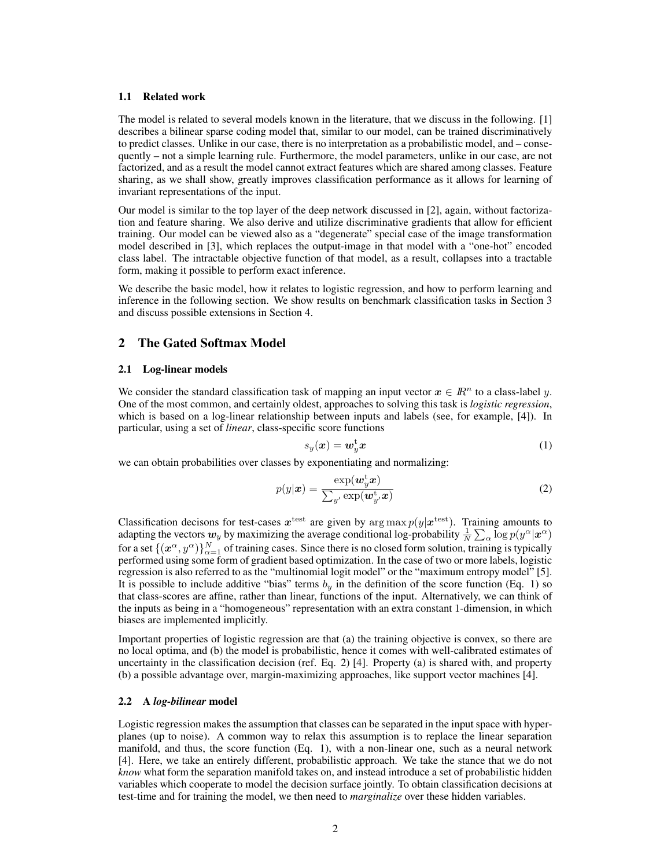#### 1.1 Related work

The model is related to several models known in the literature, that we discuss in the following. [1] describes a bilinear sparse coding model that, similar to our model, can be trained discriminatively to predict classes. Unlike in our case, there is no interpretation as a probabilistic model, and – consequently – not a simple learning rule. Furthermore, the model parameters, unlike in our case, are not factorized, and as a result the model cannot extract features which are shared among classes. Feature sharing, as we shall show, greatly improves classification performance as it allows for learning of invariant representations of the input.

Our model is similar to the top layer of the deep network discussed in [2], again, without factorization and feature sharing. We also derive and utilize discriminative gradients that allow for efficient training. Our model can be viewed also as a "degenerate" special case of the image transformation model described in [3], which replaces the output-image in that model with a "one-hot" encoded class label. The intractable objective function of that model, as a result, collapses into a tractable form, making it possible to perform exact inference.

We describe the basic model, how it relates to logistic regression, and how to perform learning and inference in the following section. We show results on benchmark classification tasks in Section 3 and discuss possible extensions in Section 4.

# 2 The Gated Softmax Model

#### 2.1 Log-linear models

We consider the standard classification task of mapping an input vector  $x \in \mathbb{R}^n$  to a class-label y. One of the most common, and certainly oldest, approaches to solving this task is *logistic regression*, which is based on a log-linear relationship between inputs and labels (see, for example, [4]). In particular, using a set of *linear*, class-specific score functions

$$
s_y(\boldsymbol{x}) = \boldsymbol{w}_y^{\mathrm{t}} \boldsymbol{x} \tag{1}
$$

we can obtain probabilities over classes by exponentiating and normalizing:

$$
p(y|\boldsymbol{x}) = \frac{\exp(\boldsymbol{w}_y^{\mathrm{t}} \boldsymbol{x})}{\sum_{y'} \exp(\boldsymbol{w}_y^{\mathrm{t}} \boldsymbol{x})}
$$
(2)

Classification decisons for test-cases  $x<sup>test</sup>$  are given by  $\arg \max p(y|x<sup>test</sup>)$ . Training amounts to adapting the vectors  $w_y$  by maximizing the average conditional log-probability  $\frac{1}{N}\sum_\alpha \log p(y^\alpha|\bm{x}^\alpha)$ for a set  $\{(x^\alpha,y^\alpha)\}_{\alpha=1}^N$  of training cases. Since there is no closed form solution, training is typically performed using some form of gradient based optimization. In the case of two or more labels, logistic regression is also referred to as the "multinomial logit model" or the "maximum entropy model" [5]. It is possible to include additive "bias" terms  $b<sub>y</sub>$  in the definition of the score function (Eq. 1) so that class-scores are affine, rather than linear, functions of the input. Alternatively, we can think of the inputs as being in a "homogeneous" representation with an extra constant 1-dimension, in which biases are implemented implicitly.

Important properties of logistic regression are that (a) the training objective is convex, so there are no local optima, and (b) the model is probabilistic, hence it comes with well-calibrated estimates of uncertainty in the classification decision (ref. Eq. 2) [4]. Property (a) is shared with, and property (b) a possible advantage over, margin-maximizing approaches, like support vector machines [4].

#### 2.2 A *log-bilinear* model

Logistic regression makes the assumption that classes can be separated in the input space with hyperplanes (up to noise). A common way to relax this assumption is to replace the linear separation manifold, and thus, the score function (Eq. 1), with a non-linear one, such as a neural network [4]. Here, we take an entirely different, probabilistic approach. We take the stance that we do not *know* what form the separation manifold takes on, and instead introduce a set of probabilistic hidden variables which cooperate to model the decision surface jointly. To obtain classification decisions at test-time and for training the model, we then need to *marginalize* over these hidden variables.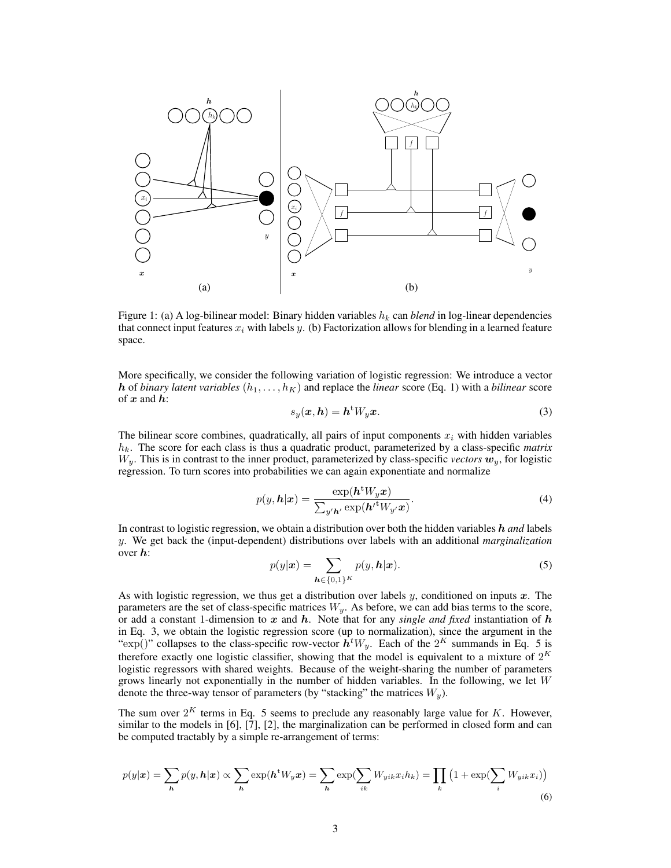

Figure 1: (a) A log-bilinear model: Binary hidden variables  $h_k$  can *blend* in log-linear dependencies that connect input features  $x_i$  with labels y. (b) Factorization allows for blending in a learned feature space.

More specifically, we consider the following variation of logistic regression: We introduce a vector h of *binary latent variables*  $(h_1, \ldots, h_K)$  and replace the *linear* score (Eq. 1) with a *bilinear* score of  $x$  and  $h$ :

$$
s_y(\boldsymbol{x}, \boldsymbol{h}) = \boldsymbol{h}^{\mathrm{t}} W_y \boldsymbol{x}.\tag{3}
$$

The bilinear score combines, quadratically, all pairs of input components  $x_i$  with hidden variables  $h_k$ . The score for each class is thus a quadratic product, parameterized by a class-specific *matrix*  $W<sub>v</sub>$ . This is in contrast to the inner product, parameterized by class-specific *vectors*  $w<sub>v</sub>$ , for logistic regression. To turn scores into probabilities we can again exponentiate and normalize

$$
p(y, h|x) = \frac{\exp(h^t W_y x)}{\sum_{y' h'} \exp(h'^t W_{y'} x)}.
$$
\n(4)

In contrast to logistic regression, we obtain a distribution over both the hidden variables h *and* labels y. We get back the (input-dependent) distributions over labels with an additional *marginalization* over h:

$$
p(y|\boldsymbol{x}) = \sum_{\boldsymbol{h} \in \{0,1\}^K} p(y, \boldsymbol{h}|\boldsymbol{x}).
$$
\n(5)

As with logistic regression, we thus get a distribution over labels  $y$ , conditioned on inputs  $x$ . The parameters are the set of class-specific matrices  $W_y$ . As before, we can add bias terms to the score, or add a constant 1-dimension to  $x$  and  $h$ . Note that for any *single and fixed* instantiation of  $h$ in Eq. 3, we obtain the logistic regression score (up to normalization), since the argument in the " $\exp(j)$ " collapses to the class-specific row-vector  $\bar{h}^t W_y$ . Each of the  $2^K$  summands in Eq. 5 is therefore exactly one logistic classifier, showing that the model is equivalent to a mixture of  $2^K$ logistic regressors with shared weights. Because of the weight-sharing the number of parameters grows linearly not exponentially in the number of hidden variables. In the following, we let  $W$ denote the three-way tensor of parameters (by "stacking" the matrices  $W_y$ ).

The sum over  $2^{K}$  terms in Eq. 5 seems to preclude any reasonably large value for K. However, similar to the models in [6], [7], [2], the marginalization can be performed in closed form and can be computed tractably by a simple re-arrangement of terms:

$$
p(y|\boldsymbol{x}) = \sum_{h} p(y, h|\boldsymbol{x}) \propto \sum_{h} \exp(h^{\mathrm{t}} W_{y} \boldsymbol{x}) = \sum_{h} \exp(\sum_{ik} W_{yik} x_{i} h_{k}) = \prod_{k} \left(1 + \exp(\sum_{i} W_{yik} x_{i})\right)
$$
\n(6)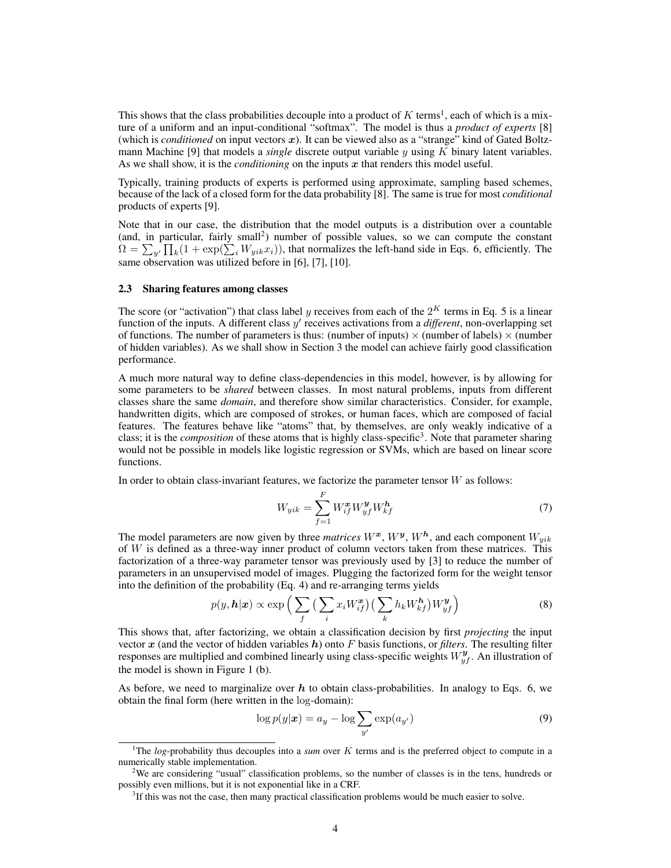This shows that the class probabilities decouple into a product of  $K$  terms<sup>1</sup>, each of which is a mixture of a uniform and an input-conditional "softmax". The model is thus a *product of experts* [8] (which is *conditioned* on input vectors  $x$ ). It can be viewed also as a "strange" kind of Gated Boltzmann Machine [9] that models a *single* discrete output variable y using K binary latent variables. As we shall show, it is the *conditioning* on the inputs  $x$  that renders this model useful.

Typically, training products of experts is performed using approximate, sampling based schemes, because of the lack of a closed form for the data probability [8]. The same is true for most *conditional* products of experts [9].

Note that in our case, the distribution that the model outputs is a distribution over a countable (and, in particular, fairly small<sup>2</sup>) number of possible values, so we can compute the constant  $\Omega = \sum_{y'} \prod_k (1 + \exp(\sum_i W_{yik} x_i))$ , that normalizes the left-hand side in Eqs. 6, efficiently. The same observation was utilized before in [6], [7], [10].

#### 2.3 Sharing features among classes

The score (or "activation") that class label y receives from each of the  $2^{K}$  terms in Eq. 5 is a linear function of the inputs. A different class y' receives activations from a *different*, non-overlapping set of functions. The number of parameters is thus: (number of inputs)  $\times$  (number of labels)  $\times$  (number of hidden variables). As we shall show in Section 3 the model can achieve fairly good classification performance.

A much more natural way to define class-dependencies in this model, however, is by allowing for some parameters to be *shared* between classes. In most natural problems, inputs from different classes share the same *domain*, and therefore show similar characteristics. Consider, for example, handwritten digits, which are composed of strokes, or human faces, which are composed of facial features. The features behave like "atoms" that, by themselves, are only weakly indicative of a class; it is the *composition* of these atoms that is highly class-specific<sup>3</sup>. Note that parameter sharing would not be possible in models like logistic regression or SVMs, which are based on linear score functions.

In order to obtain class-invariant features, we factorize the parameter tensor  $W$  as follows:

$$
W_{yik} = \sum_{f=1}^{F} W_{if}^{\boldsymbol{x}} W_{yf}^{\boldsymbol{y}} W_{kf}^{\boldsymbol{h}}
$$
\n<sup>(7)</sup>

The model parameters are now given by three *matrices*  $W^x$ ,  $W^y$ ,  $W^h$ , and each component  $W_{yik}$ of  $W$  is defined as a three-way inner product of column vectors taken from these matrices. This factorization of a three-way parameter tensor was previously used by [3] to reduce the number of parameters in an unsupervised model of images. Plugging the factorized form for the weight tensor into the definition of the probability (Eq. 4) and re-arranging terms yields

$$
p(y, h|x) \propto \exp\left(\sum_{f} \left(\sum_{i} x_{i} W_{if}^{x}\right) \left(\sum_{k} h_{k} W_{kf}^{h}\right) W_{yf}^{y}\right)
$$
(8)

This shows that, after factorizing, we obtain a classification decision by first *projecting* the input vector  $x$  (and the vector of hidden variables  $h$ ) onto F basis functions, or *filters*. The resulting filter responses are multiplied and combined linearly using class-specific weights  $W_{yf}^{\mathbf{y}}$ . An illustration of the model is shown in Figure 1 (b).

As before, we need to marginalize over  $h$  to obtain class-probabilities. In analogy to Eqs. 6, we obtain the final form (here written in the log-domain):

$$
\log p(y|\mathbf{x}) = a_y - \log \sum_{y'} \exp(a_{y'}) \tag{9}
$$

<sup>1</sup>The *log*-probability thus decouples into a *sum* over K terms and is the preferred object to compute in a numerically stable implementation.

<sup>&</sup>lt;sup>2</sup>We are considering "usual" classification problems, so the number of classes is in the tens, hundreds or possibly even millions, but it is not exponential like in a CRF.

 $3$ If this was not the case, then many practical classification problems would be much easier to solve.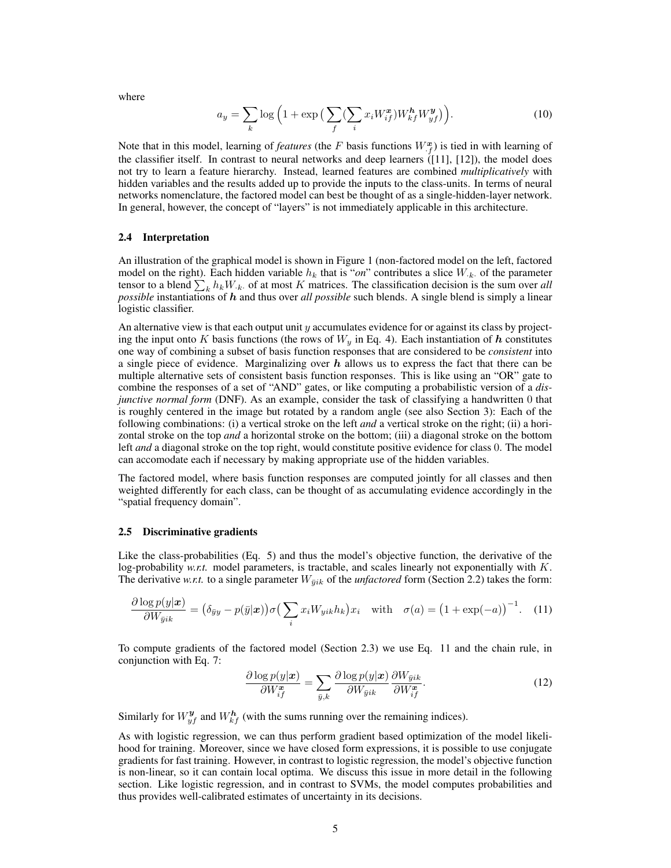where

$$
a_y = \sum_k \log\left(1 + \exp\left(\sum_f (\sum_i x_i W_{if}^x) W_{kf}^h W_{yf}^y\right)\right).
$$
 (10)

Note that in this model, learning of *features* (the F basis functions  $W_{.f}^{\mathbf{x}}$ ) is tied in with learning of the classifier itself. In contrast to neural networks and deep learners  $(111, 121)$ , the model does not try to learn a feature hierarchy. Instead, learned features are combined *multiplicatively* with hidden variables and the results added up to provide the inputs to the class-units. In terms of neural networks nomenclature, the factored model can best be thought of as a single-hidden-layer network. In general, however, the concept of "layers" is not immediately applicable in this architecture.

#### 2.4 Interpretation

An illustration of the graphical model is shown in Figure 1 (non-factored model on the left, factored model on the right). Each hidden variable  $h_k$  that is "*on*" contributes a slice  $W_{k}$  of the parameter tensor to a blend  $\sum_{k} h_k W_{k}$  of at most K matrices. The classification decision is the sum over *all possible* instantiations of h and thus over *all possible* such blends. A single blend is simply a linear logistic classifier.

An alternative view is that each output unit y accumulates evidence for or against its class by projecting the input onto K basis functions (the rows of  $W<sub>y</sub>$  in Eq. 4). Each instantiation of h constitutes one way of combining a subset of basis function responses that are considered to be *consistent* into a single piece of evidence. Marginalizing over  $h$  allows us to express the fact that there can be multiple alternative sets of consistent basis function responses. This is like using an "OR" gate to combine the responses of a set of "AND" gates, or like computing a probabilistic version of a *disjunctive normal form* (DNF). As an example, consider the task of classifying a handwritten 0 that is roughly centered in the image but rotated by a random angle (see also Section 3): Each of the following combinations: (i) a vertical stroke on the left *and* a vertical stroke on the right; (ii) a horizontal stroke on the top *and* a horizontal stroke on the bottom; (iii) a diagonal stroke on the bottom left *and* a diagonal stroke on the top right, would constitute positive evidence for class 0. The model can accomodate each if necessary by making appropriate use of the hidden variables.

The factored model, where basis function responses are computed jointly for all classes and then weighted differently for each class, can be thought of as accumulating evidence accordingly in the "spatial frequency domain".

#### 2.5 Discriminative gradients

Like the class-probabilities (Eq. 5) and thus the model's objective function, the derivative of the log-probability *w.r.t.* model parameters, is tractable, and scales linearly not exponentially with K. The derivative *w.r.t.* to a single parameter  $W_{\bar{y}ik}$  of the *unfactored* form (Section 2.2) takes the form:

$$
\frac{\partial \log p(y|\boldsymbol{x})}{\partial W_{\bar{y}ik}} = (\delta_{\bar{y}y} - p(\bar{y}|\boldsymbol{x})) \sigma \left( \sum_{i} x_i W_{yik} h_k \right) x_i \quad \text{with} \quad \sigma(a) = \left( 1 + \exp(-a) \right)^{-1}.
$$
 (11)

To compute gradients of the factored model (Section 2.3) we use Eq. 11 and the chain rule, in conjunction with Eq. 7:

$$
\frac{\partial \log p(y|\mathbf{x})}{\partial W_{if}^{\mathbf{x}}} = \sum_{\bar{y},k} \frac{\partial \log p(y|\mathbf{x})}{\partial W_{\bar{y}ik}} \frac{\partial W_{\bar{y}ik}}{\partial W_{if}^{\mathbf{x}}}.
$$
\n(12)

Similarly for  $W_{yf}^{\mathbf{y}}$  and  $W_{kf}^{\mathbf{h}}$  (with the sums running over the remaining indices).

As with logistic regression, we can thus perform gradient based optimization of the model likelihood for training. Moreover, since we have closed form expressions, it is possible to use conjugate gradients for fast training. However, in contrast to logistic regression, the model's objective function is non-linear, so it can contain local optima. We discuss this issue in more detail in the following section. Like logistic regression, and in contrast to SVMs, the model computes probabilities and thus provides well-calibrated estimates of uncertainty in its decisions.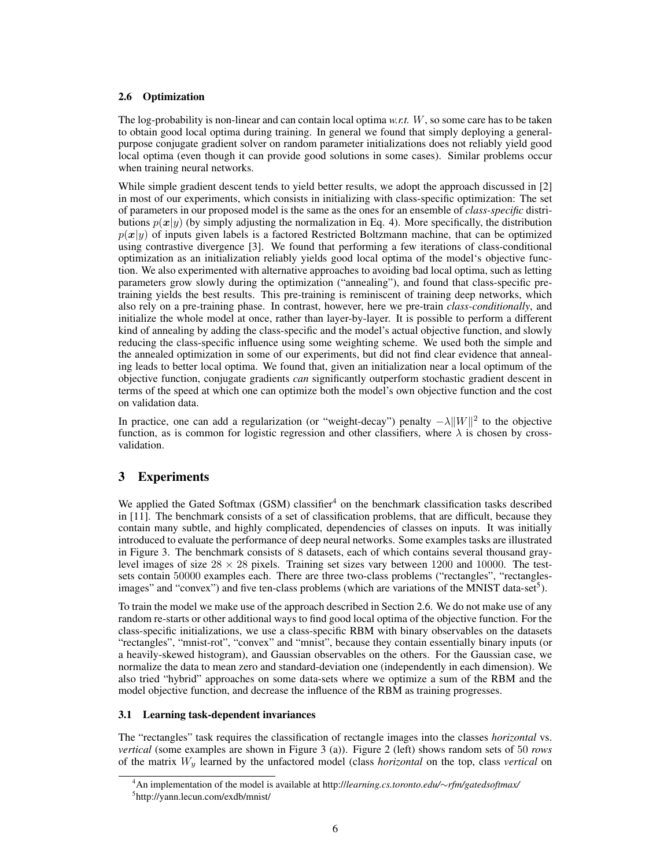## 2.6 Optimization

The log-probability is non-linear and can contain local optima *w.r.t.* W, so some care has to be taken to obtain good local optima during training. In general we found that simply deploying a generalpurpose conjugate gradient solver on random parameter initializations does not reliably yield good local optima (even though it can provide good solutions in some cases). Similar problems occur when training neural networks.

While simple gradient descent tends to yield better results, we adopt the approach discussed in [2] in most of our experiments, which consists in initializing with class-specific optimization: The set of parameters in our proposed model is the same as the ones for an ensemble of *class-specific* distributions  $p(x|y)$  (by simply adjusting the normalization in Eq. 4). More specifically, the distribution  $p(x|y)$  of inputs given labels is a factored Restricted Boltzmann machine, that can be optimized using contrastive divergence [3]. We found that performing a few iterations of class-conditional optimization as an initialization reliably yields good local optima of the model's objective function. We also experimented with alternative approaches to avoiding bad local optima, such as letting parameters grow slowly during the optimization ("annealing"), and found that class-specific pretraining yields the best results. This pre-training is reminiscent of training deep networks, which also rely on a pre-training phase. In contrast, however, here we pre-train *class-conditionally*, and initialize the whole model at once, rather than layer-by-layer. It is possible to perform a different kind of annealing by adding the class-specific and the model's actual objective function, and slowly reducing the class-specific influence using some weighting scheme. We used both the simple and the annealed optimization in some of our experiments, but did not find clear evidence that annealing leads to better local optima. We found that, given an initialization near a local optimum of the objective function, conjugate gradients *can* significantly outperform stochastic gradient descent in terms of the speed at which one can optimize both the model's own objective function and the cost on validation data.

In practice, one can add a regularization (or "weight-decay") penalty  $-\lambda ||W||^2$  to the objective function, as is common for logistic regression and other classifiers, where  $\lambda$  is chosen by crossvalidation.

# 3 Experiments

We applied the Gated Softmax (GSM) classifier<sup>4</sup> on the benchmark classification tasks described in [11]. The benchmark consists of a set of classification problems, that are difficult, because they contain many subtle, and highly complicated, dependencies of classes on inputs. It was initially introduced to evaluate the performance of deep neural networks. Some examples tasks are illustrated in Figure 3. The benchmark consists of 8 datasets, each of which contains several thousand graylevel images of size  $28 \times 28$  pixels. Training set sizes vary between 1200 and 10000. The testsets contain 50000 examples each. There are three two-class problems ("rectangles", "rectanglesimages" and "convex") and five ten-class problems (which are variations of the MNIST data-set<sup>5</sup>).

To train the model we make use of the approach described in Section 2.6. We do not make use of any random re-starts or other additional ways to find good local optima of the objective function. For the class-specific initializations, we use a class-specific RBM with binary observables on the datasets "rectangles", "mnist-rot", "convex" and "mnist", because they contain essentially binary inputs (or a heavily-skewed histogram), and Gaussian observables on the others. For the Gaussian case, we normalize the data to mean zero and standard-deviation one (independently in each dimension). We also tried "hybrid" approaches on some data-sets where we optimize a sum of the RBM and the model objective function, and decrease the influence of the RBM as training progresses.

# 3.1 Learning task-dependent invariances

The "rectangles" task requires the classification of rectangle images into the classes *horizontal* vs. *vertical* (some examples are shown in Figure 3 (a)). Figure 2 (left) shows random sets of 50 *rows* of the matrix W<sup>y</sup> learned by the unfactored model (class *horizontal* on the top, class *vertical* on

<sup>4</sup>An implementation of the model is available at http://*learning.cs.toronto.edu/*∼*rfm/gatedsoftmax/* 5 http://yann.lecun.com/exdb/mnist/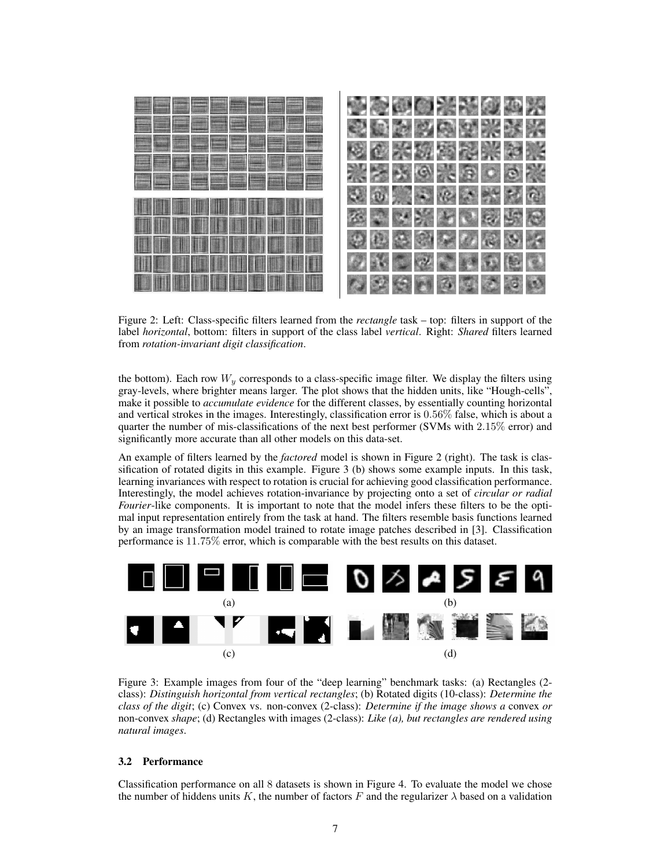

Figure 2: Left: Class-specific filters learned from the *rectangle* task – top: filters in support of the label *horizontal*, bottom: filters in support of the class label *vertical*. Right: *Shared* filters learned from *rotation-invariant digit classification*.

the bottom). Each row  $W_y$  corresponds to a class-specific image filter. We display the filters using gray-levels, where brighter means larger. The plot shows that the hidden units, like "Hough-cells", make it possible to *accumulate evidence* for the different classes, by essentially counting horizontal and vertical strokes in the images. Interestingly, classification error is 0.56% false, which is about a quarter the number of mis-classifications of the next best performer (SVMs with 2.15% error) and significantly more accurate than all other models on this data-set.

An example of filters learned by the *factored* model is shown in Figure 2 (right). The task is classification of rotated digits in this example. Figure 3 (b) shows some example inputs. In this task, learning invariances with respect to rotation is crucial for achieving good classification performance. Interestingly, the model achieves rotation-invariance by projecting onto a set of *circular or radial Fourier*-like components. It is important to note that the model infers these filters to be the optimal input representation entirely from the task at hand. The filters resemble basis functions learned by an image transformation model trained to rotate image patches described in [3]. Classification performance is 11.75% error, which is comparable with the best results on this dataset.



Figure 3: Example images from four of the "deep learning" benchmark tasks: (a) Rectangles (2 class): *Distinguish horizontal from vertical rectangles*; (b) Rotated digits (10-class): *Determine the class of the digit*; (c) Convex vs. non-convex (2-class): *Determine if the image shows a* convex *or* non-convex *shape*; (d) Rectangles with images (2-class): *Like (a), but rectangles are rendered using natural images*.

#### 3.2 Performance

Classification performance on all 8 datasets is shown in Figure 4. To evaluate the model we chose the number of hiddens units K, the number of factors F and the regularizer  $\lambda$  based on a validation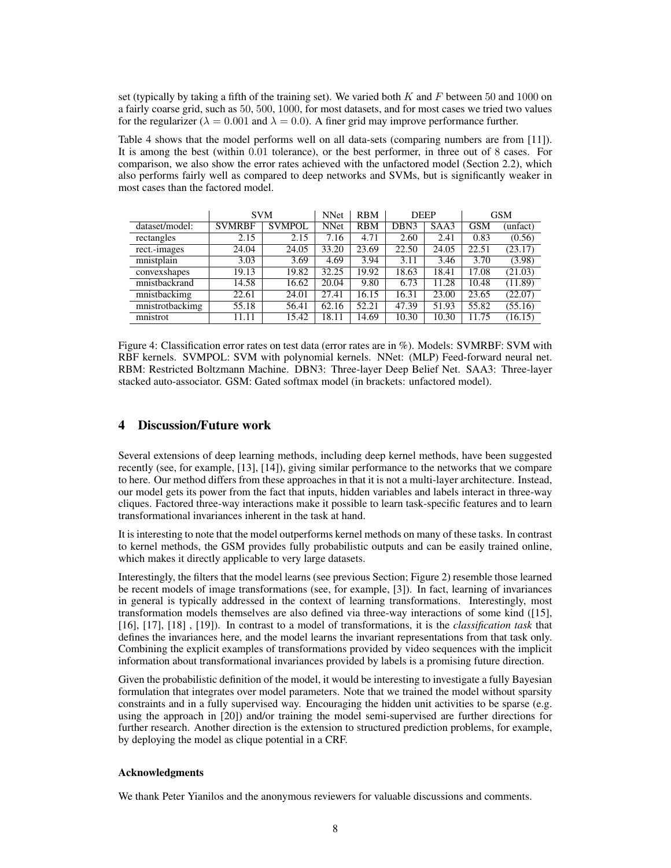set (typically by taking a fifth of the training set). We varied both  $K$  and  $F$  between 50 and 1000 on a fairly coarse grid, such as 50, 500, 1000, for most datasets, and for most cases we tried two values for the regularizer ( $\lambda = 0.001$  and  $\lambda = 0.0$ ). A finer grid may improve performance further.

Table 4 shows that the model performs well on all data-sets (comparing numbers are from [11]). It is among the best (within 0.01 tolerance), or the best performer, in three out of 8 cases. For comparison, we also show the error rates achieved with the unfactored model (Section 2.2), which also performs fairly well as compared to deep networks and SVMs, but is significantly weaker in most cases than the factored model.

|                 | <b>SVM</b>    |               | <b>NNet</b> | <b>RBM</b> | <b>DEEP</b>      |       | <b>GSM</b> |          |
|-----------------|---------------|---------------|-------------|------------|------------------|-------|------------|----------|
| dataset/model:  | <b>SVMRBF</b> | <b>SVMPOL</b> | <b>NNet</b> | <b>RBM</b> | DBN <sub>3</sub> | SAA3  | GSM        | (unfact) |
| rectangles      | 2.15          | 2.15          | 7.16        | 4.71       | 2.60             | 2.41  | 0.83       | (0.56)   |
| rect.-images    | 24.04         | 24.05         | 33.20       | 23.69      | 22.50            | 24.05 | 22.51      | (23.17)  |
| mnistplain      | 3.03          | 3.69          | 4.69        | 3.94       | 3.11             | 3.46  | 3.70       | (3.98)   |
| convexshapes    | 19.13         | 19.82         | 32.25       | 19.92      | 18.63            | 18.41 | 17.08      | (21.03)  |
| mnistbackrand   | 14.58         | 16.62         | 20.04       | 9.80       | 6.73             | 11.28 | 10.48      | (11.89)  |
| mnistbackimg    | 22.61         | 24.01         | 27.41       | 16.15      | 16.31            | 23.00 | 23.65      | (22.07)  |
| mnistrotbackimg | 55.18         | 56.41         | 62.16       | 52.21      | 47.39            | 51.93 | 55.82      | (55.16)  |
| mnistrot        | 11.11         | 15.42         | 18.11       | 14.69      | 10.30            | 10.30 | 11.75      | (16.15)  |

Figure 4: Classification error rates on test data (error rates are in %). Models: SVMRBF: SVM with RBF kernels. SVMPOL: SVM with polynomial kernels. NNet: (MLP) Feed-forward neural net. RBM: Restricted Boltzmann Machine. DBN3: Three-layer Deep Belief Net. SAA3: Three-layer stacked auto-associator. GSM: Gated softmax model (in brackets: unfactored model).

# 4 Discussion/Future work

Several extensions of deep learning methods, including deep kernel methods, have been suggested recently (see, for example, [13], [14]), giving similar performance to the networks that we compare to here. Our method differs from these approaches in that it is not a multi-layer architecture. Instead, our model gets its power from the fact that inputs, hidden variables and labels interact in three-way cliques. Factored three-way interactions make it possible to learn task-specific features and to learn transformational invariances inherent in the task at hand.

It is interesting to note that the model outperforms kernel methods on many of these tasks. In contrast to kernel methods, the GSM provides fully probabilistic outputs and can be easily trained online, which makes it directly applicable to very large datasets.

Interestingly, the filters that the model learns (see previous Section; Figure 2) resemble those learned be recent models of image transformations (see, for example, [3]). In fact, learning of invariances in general is typically addressed in the context of learning transformations. Interestingly, most transformation models themselves are also defined via three-way interactions of some kind ([15], [16], [17], [18] , [19]). In contrast to a model of transformations, it is the *classification task* that defines the invariances here, and the model learns the invariant representations from that task only. Combining the explicit examples of transformations provided by video sequences with the implicit information about transformational invariances provided by labels is a promising future direction.

Given the probabilistic definition of the model, it would be interesting to investigate a fully Bayesian formulation that integrates over model parameters. Note that we trained the model without sparsity constraints and in a fully supervised way. Encouraging the hidden unit activities to be sparse (e.g. using the approach in [20]) and/or training the model semi-supervised are further directions for further research. Another direction is the extension to structured prediction problems, for example, by deploying the model as clique potential in a CRF.

#### Acknowledgments

We thank Peter Yianilos and the anonymous reviewers for valuable discussions and comments.